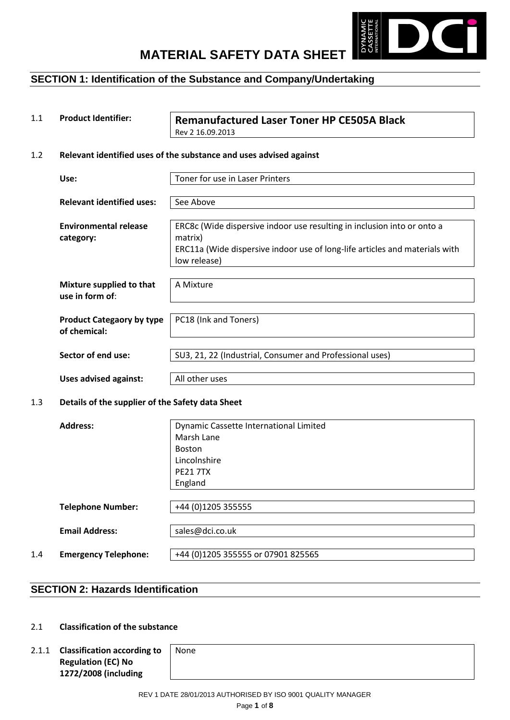

### **SECTION 1: Identification of the Substance and Company/Undertaking**

# 1.1 **Product Identifier: Remanufactured Laser Toner HP CE505A Black**

Rev 2 16.09.2013

#### 1.2 **Relevant identified uses of the substance and uses advised against**

| Use:                                             | Toner for use in Laser Printers                                                                                                                                   |
|--------------------------------------------------|-------------------------------------------------------------------------------------------------------------------------------------------------------------------|
|                                                  |                                                                                                                                                                   |
| <b>Relevant identified uses:</b>                 | See Above                                                                                                                                                         |
| <b>Environmental release</b><br>category:        | ERC8c (Wide dispersive indoor use resulting in inclusion into or onto a<br>matrix)<br>ERC11a (Wide dispersive indoor use of long-life articles and materials with |
|                                                  | low release)                                                                                                                                                      |
|                                                  |                                                                                                                                                                   |
| Mixture supplied to that<br>use in form of:      | A Mixture                                                                                                                                                         |
|                                                  |                                                                                                                                                                   |
| <b>Product Categaory by type</b><br>of chemical: | PC18 (Ink and Toners)                                                                                                                                             |
|                                                  |                                                                                                                                                                   |
| Sector of end use:                               | SU3, 21, 22 (Industrial, Consumer and Professional uses)                                                                                                          |
|                                                  |                                                                                                                                                                   |
| Uses advised against:                            | All other uses                                                                                                                                                    |

#### 1.3 **Details of the supplier of the Safety data Sheet**

|     | <b>Address:</b>             | Dynamic Cassette International Limited |
|-----|-----------------------------|----------------------------------------|
|     |                             | Marsh Lane                             |
|     |                             | <b>Boston</b>                          |
|     |                             | Lincolnshire                           |
|     |                             | <b>PF21 7TX</b>                        |
|     |                             | England                                |
|     |                             |                                        |
|     | <b>Telephone Number:</b>    | +44 (0)1205 355555                     |
|     |                             |                                        |
|     | <b>Email Address:</b>       | sales@dci.co.uk                        |
|     |                             |                                        |
| 1.4 | <b>Emergency Telephone:</b> | +44 (0)1205 355555 or 07901 825565     |
|     |                             |                                        |

### **SECTION 2: Hazards Identification**

### 2.1 **Classification of the substance**

2.1.1 **Classification according to Regulation (EC) No 1272/2008 (including**

None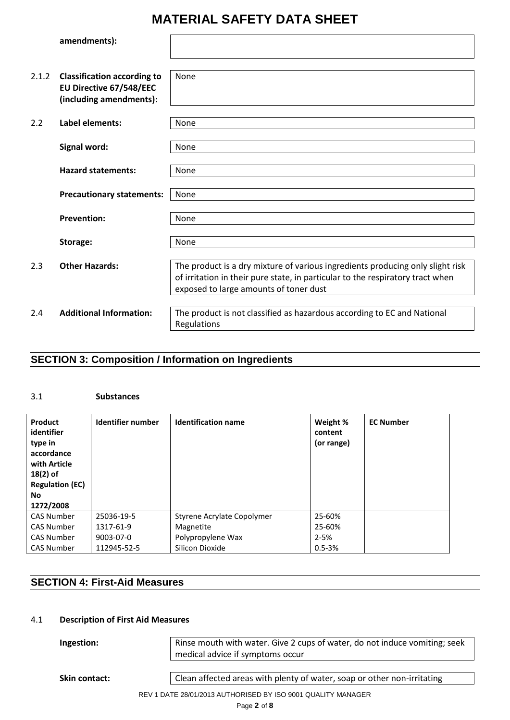**amendments):**

| 2.1.2 | <b>Classification according to</b> | None                                                                           |
|-------|------------------------------------|--------------------------------------------------------------------------------|
|       | EU Directive 67/548/EEC            |                                                                                |
|       | (including amendments):            |                                                                                |
|       |                                    |                                                                                |
| 2.2   | Label elements:                    | None                                                                           |
|       |                                    |                                                                                |
|       | Signal word:                       | None                                                                           |
|       |                                    |                                                                                |
|       | <b>Hazard statements:</b>          | None                                                                           |
|       |                                    |                                                                                |
|       | <b>Precautionary statements:</b>   | None                                                                           |
|       |                                    |                                                                                |
|       | <b>Prevention:</b>                 | None                                                                           |
|       |                                    |                                                                                |
|       | Storage:                           | None                                                                           |
|       |                                    |                                                                                |
| 2.3   | <b>Other Hazards:</b>              | The product is a dry mixture of various ingredients producing only slight risk |
|       |                                    | of irritation in their pure state, in particular to the respiratory tract when |
|       |                                    | exposed to large amounts of toner dust                                         |
|       |                                    |                                                                                |
| 2.4   | <b>Additional Information:</b>     | The product is not classified as hazardous according to EC and National        |
|       |                                    |                                                                                |
|       |                                    | Regulations                                                                    |

### **SECTION 3: Composition / Information on Ingredients**

#### 3.1 **Substances**

| Product<br>identifier<br>type in<br>accordance<br>with Article<br>$18(2)$ of<br><b>Regulation (EC)</b><br><b>No</b><br>1272/2008 | Identifier number | <b>Identification name</b> | Weight %<br>content<br>(or range) | <b>EC Number</b> |
|----------------------------------------------------------------------------------------------------------------------------------|-------------------|----------------------------|-----------------------------------|------------------|
| <b>CAS Number</b>                                                                                                                | 25036-19-5        | Styrene Acrylate Copolymer | 25-60%                            |                  |
| <b>CAS Number</b>                                                                                                                | 1317-61-9         | Magnetite                  | 25-60%                            |                  |
| <b>CAS Number</b>                                                                                                                | 9003-07-0         | Polypropylene Wax          | $2 - 5%$                          |                  |
| <b>CAS Number</b>                                                                                                                | 112945-52-5       | Silicon Dioxide            | $0.5 - 3%$                        |                  |

### **SECTION 4: First-Aid Measures**

#### 4.1 **Description of First Aid Measures**

**Ingestion:** Rinse mouth with water. Give 2 cups of water, do not induce vomiting; seek medical advice if symptoms occur

**Skin contact:** Clean affected areas with plenty of water, soap or other non-irritating

REV 1 DATE 28/01/2013 AUTHORISED BY ISO 9001 QUALITY MANAGER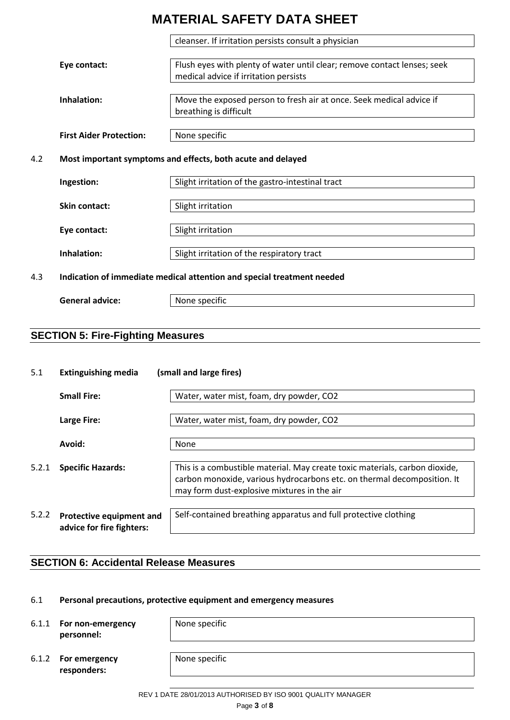cleanser. If irritation persists consult a physician

| Eye contact:                   | Flush eyes with plenty of water until clear; remove contact lenses; seek<br>medical advice if irritation persists |
|--------------------------------|-------------------------------------------------------------------------------------------------------------------|
| Inhalation:                    | Move the exposed person to fresh air at once. Seek medical advice if<br>breathing is difficult                    |
| <b>First Aider Protection:</b> | None specific                                                                                                     |
|                                |                                                                                                                   |
|                                | Most important symptoms and effects, both acute and delayed                                                       |
| Ingestion:                     | Slight irritation of the gastro-intestinal tract                                                                  |
| <b>Skin contact:</b>           | Slight irritation                                                                                                 |
| Eye contact:                   | Slight irritation                                                                                                 |

# **SECTION 5: Fire-Fighting Measures**

**General advice:** None specific

| 5.1   | <b>Extinguishing media</b>                                   | (small and large fires)                                                                                                                                                                               |  |
|-------|--------------------------------------------------------------|-------------------------------------------------------------------------------------------------------------------------------------------------------------------------------------------------------|--|
|       | <b>Small Fire:</b>                                           | Water, water mist, foam, dry powder, CO2                                                                                                                                                              |  |
|       | <b>Large Fire:</b>                                           | Water, water mist, foam, dry powder, CO2                                                                                                                                                              |  |
|       | Avoid:                                                       | None                                                                                                                                                                                                  |  |
| 5.2.1 | <b>Specific Hazards:</b>                                     | This is a combustible material. May create toxic materials, carbon dioxide,<br>carbon monoxide, various hydrocarbons etc. on thermal decomposition. It<br>may form dust-explosive mixtures in the air |  |
| 5.2.2 | <b>Protective equipment and</b><br>advice for fire fighters: | Self-contained breathing apparatus and full protective clothing                                                                                                                                       |  |

### **SECTION 6: Accidental Release Measures**

#### 6.1 **Personal precautions, protective equipment and emergency measures**

6.1.1 **For non-emergency personnel:**

None specific

6.1.2 **For emergency responders:**

None specific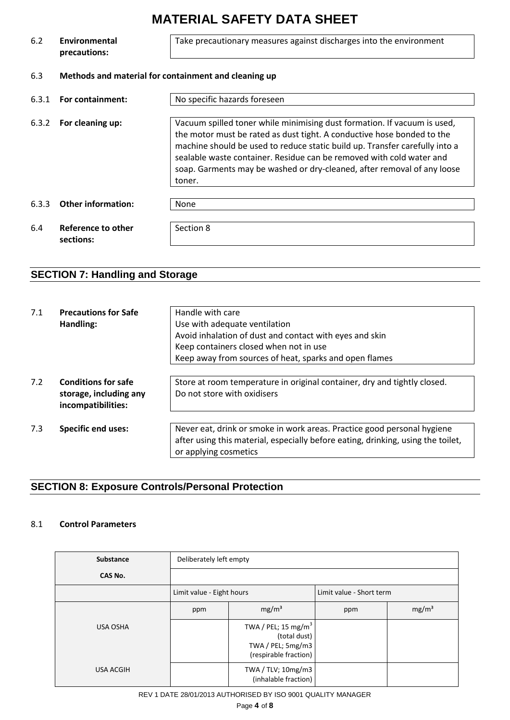| 6.2   | Environmental<br>precautions:                        | Take precautionary measures against discharges into the environment                                                                                                                                                                                                                                                                                                                            |
|-------|------------------------------------------------------|------------------------------------------------------------------------------------------------------------------------------------------------------------------------------------------------------------------------------------------------------------------------------------------------------------------------------------------------------------------------------------------------|
| 6.3   | Methods and material for containment and cleaning up |                                                                                                                                                                                                                                                                                                                                                                                                |
| 6.3.1 | For containment:                                     | No specific hazards foreseen                                                                                                                                                                                                                                                                                                                                                                   |
| 6.3.2 | For cleaning up:                                     | Vacuum spilled toner while minimising dust formation. If vacuum is used,<br>the motor must be rated as dust tight. A conductive hose bonded to the<br>machine should be used to reduce static build up. Transfer carefully into a<br>sealable waste container. Residue can be removed with cold water and<br>soap. Garments may be washed or dry-cleaned, after removal of any loose<br>toner. |
| 6.3.3 | <b>Other information:</b>                            | <b>None</b>                                                                                                                                                                                                                                                                                                                                                                                    |
| 6.4   | Reference to other<br>sections:                      | Section 8                                                                                                                                                                                                                                                                                                                                                                                      |

## **SECTION 7: Handling and Storage**

| 7.1 | <b>Precautions for Safe</b><br>Handling:                                   | Handle with care<br>Use with adequate ventilation<br>Avoid inhalation of dust and contact with eyes and skin<br>Keep containers closed when not in use<br>Keep away from sources of heat, sparks and open flames |
|-----|----------------------------------------------------------------------------|------------------------------------------------------------------------------------------------------------------------------------------------------------------------------------------------------------------|
| 7.2 | <b>Conditions for safe</b><br>storage, including any<br>incompatibilities: | Store at room temperature in original container, dry and tightly closed.<br>Do not store with oxidisers                                                                                                          |
| 7.3 | <b>Specific end uses:</b>                                                  | Never eat, drink or smoke in work areas. Practice good personal hygiene<br>after using this material, especially before eating, drinking, using the toilet,<br>or applying cosmetics                             |

## **SECTION 8: Exposure Controls/Personal Protection**

### 8.1 **Control Parameters**

| <b>Substance</b> | Deliberately left empty   |                                                                                               |                          |                   |
|------------------|---------------------------|-----------------------------------------------------------------------------------------------|--------------------------|-------------------|
| CAS No.          |                           |                                                                                               |                          |                   |
|                  | Limit value - Eight hours |                                                                                               | Limit value - Short term |                   |
|                  | ppm                       | mg/m <sup>3</sup>                                                                             | ppm                      | mg/m <sup>3</sup> |
| <b>USA OSHA</b>  |                           | TWA / PEL; 15 mg/m <sup>3</sup><br>(total dust)<br>TWA / PEL; 5mg/m3<br>(respirable fraction) |                          |                   |
| <b>USA ACGIH</b> |                           | TWA / TLV; 10mg/m3<br>(inhalable fraction)                                                    |                          |                   |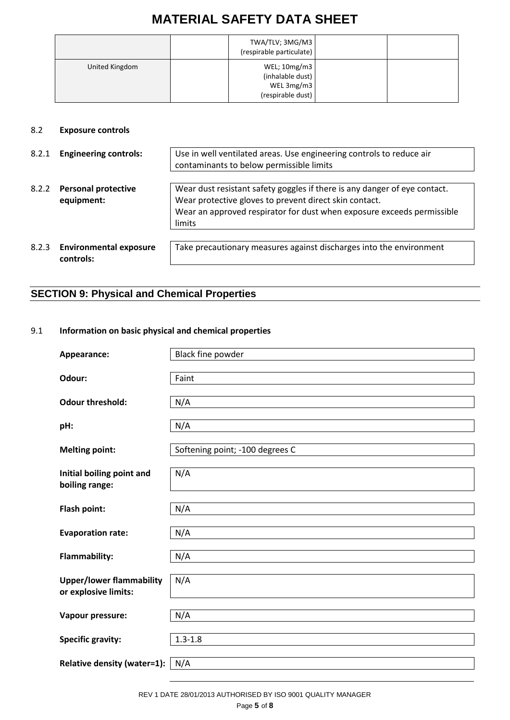|                | TWA/TLV; 3MG/M3<br>(respirable particulate)                         |  |
|----------------|---------------------------------------------------------------------|--|
| United Kingdom | WEL; 10mg/m3<br>(inhalable dust)<br>WEL 3mg/m3<br>(respirable dust) |  |

### 8.2 **Exposure controls**

| 8.2.1 | <b>Engineering controls:</b>               | Use in well ventilated areas. Use engineering controls to reduce air<br>contaminants to below permissible limits                                                                                                        |
|-------|--------------------------------------------|-------------------------------------------------------------------------------------------------------------------------------------------------------------------------------------------------------------------------|
| 8.2.2 | <b>Personal protective</b><br>equipment:   | Wear dust resistant safety goggles if there is any danger of eye contact.<br>Wear protective gloves to prevent direct skin contact.<br>Wear an approved respirator for dust when exposure exceeds permissible<br>limits |
| 8.2.3 | <b>Environmental exposure</b><br>controls: | Take precautionary measures against discharges into the environment                                                                                                                                                     |

### **SECTION 9: Physical and Chemical Properties**

### 9.1 **Information on basic physical and chemical properties**

| Appearance:                                             | Black fine powder               |
|---------------------------------------------------------|---------------------------------|
|                                                         |                                 |
| Odour:                                                  | Faint                           |
| <b>Odour threshold:</b>                                 | N/A                             |
|                                                         |                                 |
| pH:                                                     | N/A                             |
| <b>Melting point:</b>                                   | Softening point; -100 degrees C |
| Initial boiling point and<br>boiling range:             | N/A                             |
| Flash point:                                            | N/A                             |
| <b>Evaporation rate:</b>                                | N/A                             |
| <b>Flammability:</b>                                    | N/A                             |
| <b>Upper/lower flammability</b><br>or explosive limits: | N/A                             |
| Vapour pressure:                                        | N/A                             |
| <b>Specific gravity:</b>                                | $1.3 - 1.8$                     |
| Relative density (water=1):                             | N/A                             |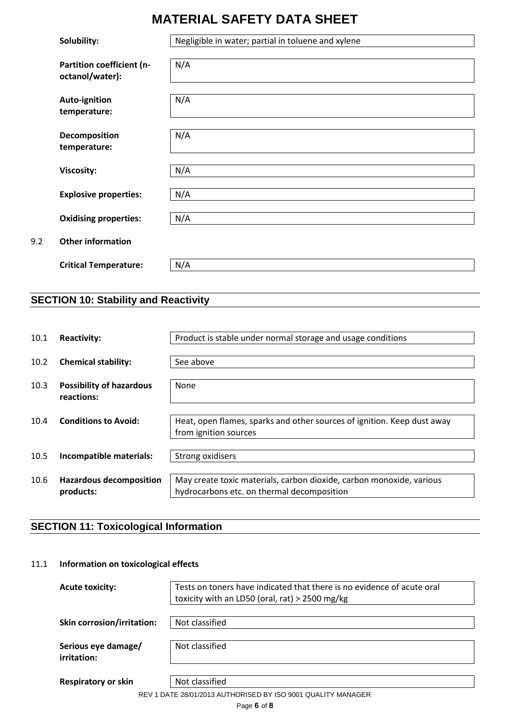|     | Solubility:                                         | Negligible in water; partial in toluene and xylene |
|-----|-----------------------------------------------------|----------------------------------------------------|
|     | <b>Partition coefficient (n-</b><br>octanol/water): | N/A                                                |
|     | Auto-ignition<br>temperature:                       | N/A                                                |
|     | Decomposition<br>temperature:                       | N/A                                                |
|     | Viscosity:                                          | N/A                                                |
|     | <b>Explosive properties:</b>                        | N/A                                                |
|     | <b>Oxidising properties:</b>                        | N/A                                                |
| 9.2 | <b>Other information</b>                            |                                                    |
|     | <b>Critical Temperature:</b>                        | N/A                                                |

## **SECTION 10: Stability and Reactivity**

| 10.1 | <b>Reactivity:</b>                            | Product is stable under normal storage and usage conditions                                                        |
|------|-----------------------------------------------|--------------------------------------------------------------------------------------------------------------------|
| 10.2 | <b>Chemical stability:</b>                    | See above                                                                                                          |
| 10.3 | <b>Possibility of hazardous</b><br>reactions: | None                                                                                                               |
| 10.4 | <b>Conditions to Avoid:</b>                   | Heat, open flames, sparks and other sources of ignition. Keep dust away<br>from ignition sources                   |
| 10.5 | Incompatible materials:                       | Strong oxidisers                                                                                                   |
| 10.6 | <b>Hazardous decomposition</b><br>products:   | May create toxic materials, carbon dioxide, carbon monoxide, various<br>hydrocarbons etc. on thermal decomposition |

## **SECTION 11: Toxicological Information**

### 11.1 **Information on toxicological effects**

| <b>Acute toxicity:</b>             | Tests on toners have indicated that there is no evidence of acute oral<br>toxicity with an LD50 (oral, rat) > 2500 mg/kg |
|------------------------------------|--------------------------------------------------------------------------------------------------------------------------|
| <b>Skin corrosion/irritation:</b>  | Not classified                                                                                                           |
| Serious eye damage/<br>irritation: | Not classified                                                                                                           |
| <b>Respiratory or skin</b>         | Not classified                                                                                                           |

REV 1 DATE 28/01/2013 AUTHORISED BY ISO 9001 QUALITY MANAGER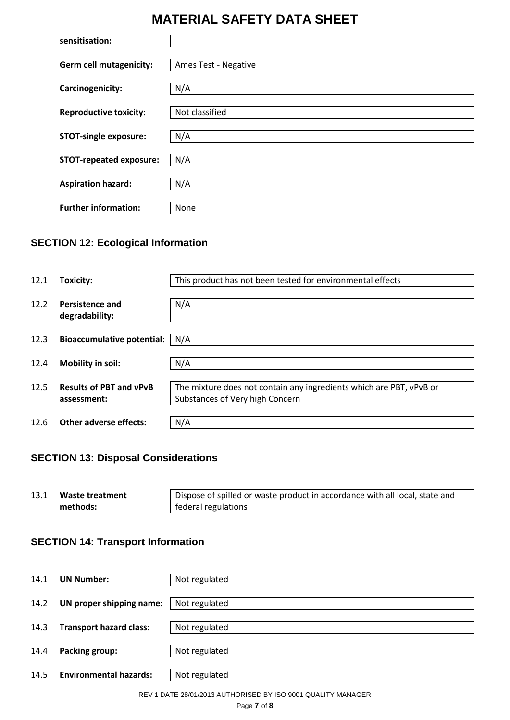| sensitisation:                 |                             |
|--------------------------------|-----------------------------|
| <b>Germ cell mutagenicity:</b> | <b>Ames Test - Negative</b> |
| Carcinogenicity:               | N/A                         |
| <b>Reproductive toxicity:</b>  | Not classified              |
| <b>STOT-single exposure:</b>   | N/A                         |
| <b>STOT-repeated exposure:</b> | N/A                         |
| <b>Aspiration hazard:</b>      | N/A                         |
|                                |                             |
| <b>Further information:</b>    | None                        |

## **SECTION 12: Ecological Information**

| 12.1 | Toxicity:                                     | This product has not been tested for environmental effects                                             |
|------|-----------------------------------------------|--------------------------------------------------------------------------------------------------------|
| 12.2 | <b>Persistence and</b><br>degradability:      | N/A                                                                                                    |
| 12.3 | <b>Bioaccumulative potential:</b>             | N/A                                                                                                    |
| 12.4 | <b>Mobility in soil:</b>                      | N/A                                                                                                    |
| 12.5 | <b>Results of PBT and vPvB</b><br>assessment: | The mixture does not contain any ingredients which are PBT, vPvB or<br>Substances of Very high Concern |
| 12.6 | <b>Other adverse effects:</b>                 | N/A                                                                                                    |

### **SECTION 13: Disposal Considerations**

| 13.1 | <b>Waste treatment</b> | Dispose of spilled or waste product in accordance with all local, state and |
|------|------------------------|-----------------------------------------------------------------------------|
|      | methods:               | federal regulations                                                         |

## **SECTION 14: Transport Information**

| 14.1 | <b>UN Number:</b>              | Not regulated |
|------|--------------------------------|---------------|
| 14.2 | UN proper shipping name:       | Not regulated |
| 14.3 | <b>Transport hazard class:</b> | Not regulated |
| 14.4 | Packing group:                 | Not regulated |
| 14.5 | <b>Environmental hazards:</b>  | Not regulated |

#### REV 1 DATE 28/01/2013 AUTHORISED BY ISO 9001 QUALITY MANAGER